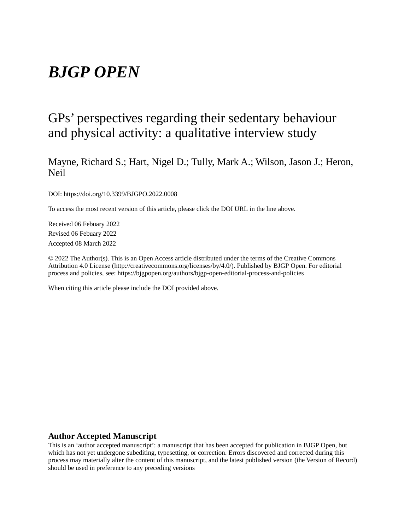# *BJGP OPEN*

## GPs' perspectives regarding their sedentary behaviour and physical activity: a qualitative interview study

Mayne, Richard S.; Hart, Nigel D.; Tully, Mark A.; Wilson, Jason J.; Heron, Neil

DOI: https://doi.org/10.3399/BJGPO.2022.0008

To access the most recent version of this article, please click the DOI URL in the line above.

Received 06 Febuary 2022 Revised 06 Febuary 2022 Accepted 08 March 2022

© 2022 The Author(s). This is an Open Access article distributed under the terms of the Creative Commons Attribution 4.0 License (http://creativecommons.org/licenses/by/4.0/). Published by BJGP Open. For editorial process and policies, see: https://bjgpopen.org/authors/bjgp-open-editorial-process-and-policies

When citing this article please include the DOI provided above.

#### **Author Accepted Manuscript**

This is an 'author accepted manuscript': a manuscript that has been accepted for publication in BJGP Open, but which has not yet undergone subediting, typesetting, or correction. Errors discovered and corrected during this process may materially alter the content of this manuscript, and the latest published version (the Version of Record) should be used in preference to any preceding versions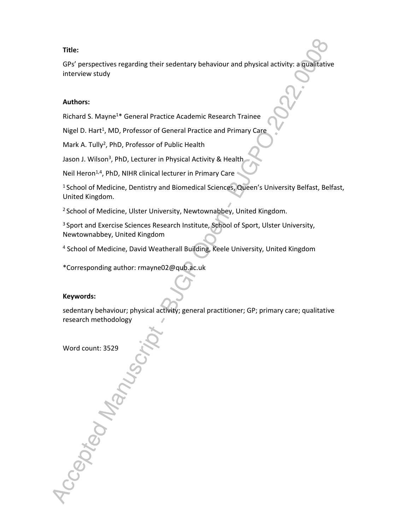### **Title:**

GPs' perspectives regarding their sedentary behaviour and physical activity: a qualitative interview study

#### **Authors:**

Richard S. Mayne<sup>1</sup>\* General Practice Academic Research Trainee

Nigel D. Hart<sup>1</sup>, MD, Professor of General Practice and Primary Care

Mark A. Tully<sup>2</sup>, PhD, Professor of Public Health

Jason J. Wilson<sup>3</sup>, PhD, Lecturer in Physical Activity & Health

Neil Heron<sup>1,4</sup>, PhD, NIHR clinical lecturer in Primary Care

<sup>1</sup> School of Medicine, Dentistry and Biomedical Sciences, Queen's University Belfast, Belfast, United Kingdom.

<sup>2</sup> School of Medicine, Ulster University, Newtownabbey, United Kingdom.

<sup>3</sup> Sport and Exercise Sciences Research Institute, School of Sport, Ulster University, Newtownabbey, United Kingdom

4 School of Medicine, David Weatherall Building, Keele University, United Kingdom

\*Corresponding author: rmayne02@qub.ac.uk

### **Keywords:**

sedentary behaviour; physical activity; general practitioner; GP; primary care; qualitative research methodology

Word count: 3529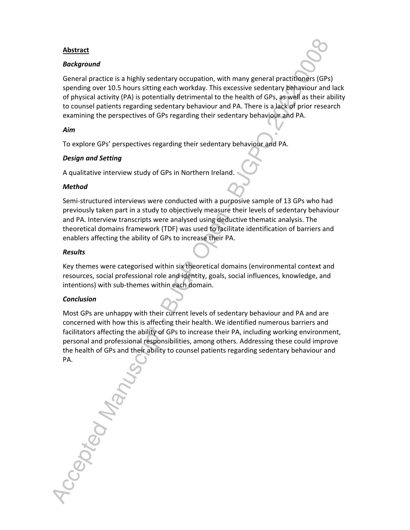### **Abstract**

### *Background*

General practice is a highly sedentary occupation, with many general practitioners (GPs) spending over 10.5 hours sitting each workday. This excessive sedentary behaviour and lack of physical activity (PA) is potentially detrimental to the health of GPs, as well as their ability to counsel patients regarding sedentary behaviour and PA. There is a lack of prior research examining the perspectives of GPs regarding their sedentary behaviour and PA.

### *Aim*

To explore GPs' perspectives regarding their sedentary behaviour and PA.

### *Design and Setting*

A qualitative interview study of GPs in Northern Ireland.

### *Method*

Semi-structured interviews were conducted with a purposive sample of 13 GPs who had previously taken part in a study to objectively measure their levels of sedentary behaviour and PA. Interview transcripts were analysed using deductive thematic analysis. The theoretical domains framework (TDF) was used to facilitate identification of barriers and enablers affecting the ability of GPs to increase their PA.

### *Results*

Key themes were categorised within six theoretical domains (environmental context and resources, social professional role and identity, goals, social influences, knowledge, and intentions) with sub-themes within each domain.

### *Conclusion*

Most GPs are unhappy with their current levels of sedentary behaviour and PA and are concerned with how this is affecting their health. We identified numerous barriers and facilitators affecting the ability of GPs to increase their PA, including working environment, personal and professional responsibilities, among others. Addressing these could improve the health of GPs and their ability to counsel patients regarding sedentary behaviour and PA.

Accepted Manu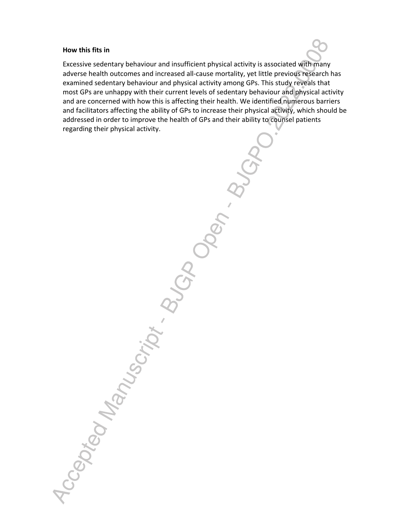#### **How this fits in**

Excessive sedentary behaviour and insufficient physical activity is associated with many adverse health outcomes and increased all-cause mortality, yet little previous research has examined sedentary behaviour and physical activity among GPs. This study reveals that most GPs are unhappy with their current levels of sedentary behaviour and physical activity and are concerned with how this is affecting their health. We identified numerous barriers and facilitators affecting the ability of GPs to increase their physical activity, which should be addressed in order to improve the health of GPs and their ability to counsel patients regarding their physical activity.

Accepted Manuscript Buch Ob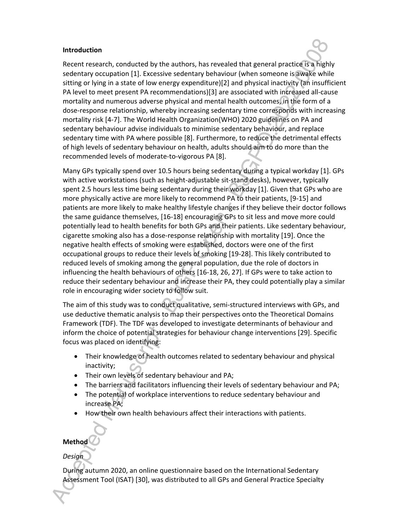#### **Introduction**

Recent research, conducted by the authors, has revealed that general practice is a highly sedentary occupation [1]. Excessive sedentary behaviour (when someone is awake while sitting or lying in a state of low energy expenditure)[2] and physical inactivity (an insufficient PA level to meet present PA recommendations)[3] are associated with increased all-cause mortality and numerous adverse physical and mental health outcomes, in the form of a dose-response relationship, whereby increasing sedentary time corresponds with increasing mortality risk [4-7]. The World Health Organization(WHO) 2020 guidelines on PA and sedentary behaviour advise individuals to minimise sedentary behaviour, and replace sedentary time with PA where possible [8]. Furthermore, to reduce the detrimental effects of high levels of sedentary behaviour on health, adults should aim to do more than the recommended levels of moderate-to-vigorous PA [8].

Many GPs typically spend over 10.5 hours being sedentary during a typical workday [1]. GPs with active workstations (such as height-adjustable sit-stand desks), however, typically spent 2.5 hours less time being sedentary during their workday [1]. Given that GPs who are more physically active are more likely to recommend PA to their patients, [9-15] and patients are more likely to make healthy lifestyle changes if they believe their doctor follows the same guidance themselves, [16-18] encouraging GPs to sit less and move more could potentially lead to health benefits for both GPs and their patients. Like sedentary behaviour, cigarette smoking also has a dose-response relationship with mortality [19]. Once the negative health effects of smoking were established, doctors were one of the first occupational groups to reduce their levels of smoking [19-28]. This likely contributed to reduced levels of smoking among the general population, due the role of doctors in influencing the health behaviours of others [16-18, 26, 27]. If GPs were to take action to reduce their sedentary behaviour and increase their PA, they could potentially play a similar role in encouraging wider society to follow suit.

The aim of this study was to conduct qualitative, semi-structured interviews with GPs, and use deductive thematic analysis to map their perspectives onto the Theoretical Domains Framework (TDF). The TDF was developed to investigate determinants of behaviour and inform the choice of potential strategies for behaviour change interventions [29]. Specific focus was placed on identifying:

- Their knowledge of health outcomes related to sedentary behaviour and physical inactivity;
- Their own levels of sedentary behaviour and PA;
- The barriers and facilitators influencing their levels of sedentary behaviour and PA;
- The potential of workplace interventions to reduce sedentary behaviour and increase PA;
- How their own health behaviours affect their interactions with patients.

### **Method**

### *Design*

During autumn 2020, an online questionnaire based on the International Sedentary Assessment Tool (ISAT) [30], was distributed to all GPs and General Practice Specialty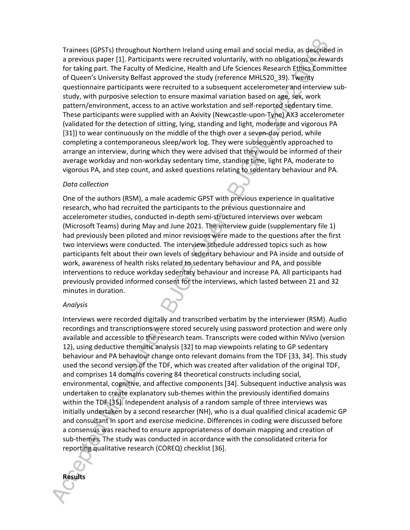Trainees (GPSTs) throughout Northern Ireland using email and social media, as described in a previous paper [1]. Participants were recruited voluntarily, with no obligations or rewards for taking part. The Faculty of Medicine, Health and Life Sciences Research Ethics Committee of Queen's University Belfast approved the study (reference MHLS20\_39). Twenty questionnaire participants were recruited to a subsequent accelerometer and interview substudy, with purposive selection to ensure maximal variation based on age, sex, work pattern/environment, access to an active workstation and self-reported sedentary time. These participants were supplied with an Axivity (Newcastle-upon-Tyne) AX3 accelerometer (validated for the detection of sitting, lying, standing and light, moderate and vigorous PA [31]) to wear continuously on the middle of the thigh over a seven-day period, while completing a contemporaneous sleep/work log. They were subsequently approached to arrange an interview, during which they were advised that they would be informed of their average workday and non-workday sedentary time, standing time, light PA, moderate to vigorous PA, and step count, and asked questions relating to sedentary behaviour and PA.

#### *Data collection*

One of the authors (RSM), a male academic GPST with previous experience in qualitative research, who had recruited the participants to the previous questionnaire and accelerometer studies, conducted in-depth semi-structured interviews over webcam (Microsoft Teams) during May and June 2021. The interview guide (supplementary file 1) had previously been piloted and minor revisions were made to the questions after the first two interviews were conducted. The interview schedule addressed topics such as how participants felt about their own levels of sedentary behaviour and PA inside and outside of work, awareness of health risks related to sedentary behaviour and PA, and possible interventions to reduce workday sedentary behaviour and increase PA. All participants had previously provided informed consent for the interviews, which lasted between 21 and 32 minutes in duration.

#### *Analysis*

**Results**

Interviews were recorded digitally and transcribed verbatim by the interviewer (RSM). Audio recordings and transcriptions were stored securely using password protection and were only available and accessible to the research team. Transcripts were coded within NVivo (version 12), using deductive thematic analysis [32] to map viewpoints relating to GP sedentary behaviour and PA behaviour change onto relevant domains from the TDF [33, 34]. This study used the second version of the TDF, which was created after validation of the original TDF, and comprises 14 domains covering 84 theoretical constructs including social, environmental, cognitive, and affective components [34]. Subsequent inductive analysis was undertaken to create explanatory sub-themes within the previously identified domains within the TDF [35]. Independent analysis of a random sample of three interviews was initially undertaken by a second researcher (NH), who is a dual qualified clinical academic GP and consultant in sport and exercise medicine. Differences in coding were discussed before a consensus was reached to ensure appropriateness of domain mapping and creation of sub-themes. The study was conducted in accordance with the consolidated criteria for reporting qualitative research (COREQ) checklist [36].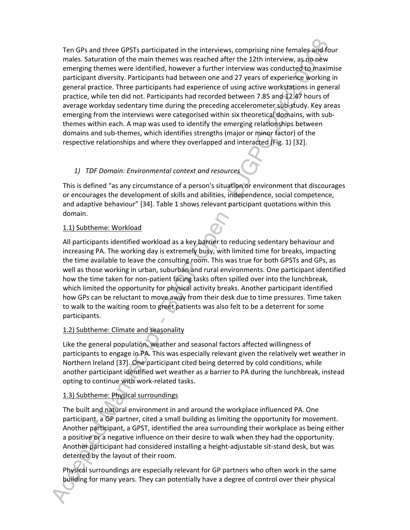Ten GPs and three GPSTs participated in the interviews, comprising nine females and four males. Saturation of the main themes was reached after the 12th interview, as no new emerging themes were identified, however a further interview was conducted to maximise participant diversity. Participants had between one and 27 years of experience working in general practice. Three participants had experience of using active workstations in general practice, while ten did not. Participants had recorded between 7.85 and 12.47 hours of average workday sedentary time during the preceding accelerometer sub-study. Key areas emerging from the interviews were categorised within six theoretical domains, with subthemes within each. A map was used to identify the emerging relationships between domains and sub-themes, which identifies strengths (major or minor factor) of the respective relationships and where they overlapped and interacted (Fig. 1) [32].

### *1) TDF Domain: Environmental context and resources*

This is defined "as any circumstance of a person's situation or environment that discourages or encourages the development of skills and abilities, independence, social competence, and adaptive behaviour" [34]. Table 1 shows relevant participant quotations within this domain.

### 1.1) Subtheme: Workload

All participants identified workload as a key barrier to reducing sedentary behaviour and increasing PA. The working day is extremely busy, with limited time for breaks, impacting the time available to leave the consulting room. This was true for both GPSTs and GPs, as well as those working in urban, suburban and rural environments. One participant identified how the time taken for non-patient facing tasks often spilled over into the lunchbreak, which limited the opportunity for physical activity breaks. Another participant identified how GPs can be reluctant to move away from their desk due to time pressures. Time taken to walk to the waiting room to greet patients was also felt to be a deterrent for some participants.

### 1.2) Subtheme: Climate and seasonality

Like the general population, weather and seasonal factors affected willingness of participants to engage in PA. This was especially relevant given the relatively wet weather in Northern Ireland [37]. One participant cited being deterred by cold conditions, while another participant identified wet weather as a barrier to PA during the lunchbreak, instead opting to continue with work-related tasks.

### 1.3) Subtheme: Physical surroundings

The built and natural environment in and around the workplace influenced PA. One participant, a GP partner, cited a small building as limiting the opportunity for movement. Another participant, a GPST, identified the area surrounding their workplace as being either a positive or a negative influence on their desire to walk when they had the opportunity. Another participant had considered installing a height-adjustable sit-stand desk, but was deterred by the layout of their room.

Physical surroundings are especially relevant for GP partners who often work in the same building for many years. They can potentially have a degree of control over their physical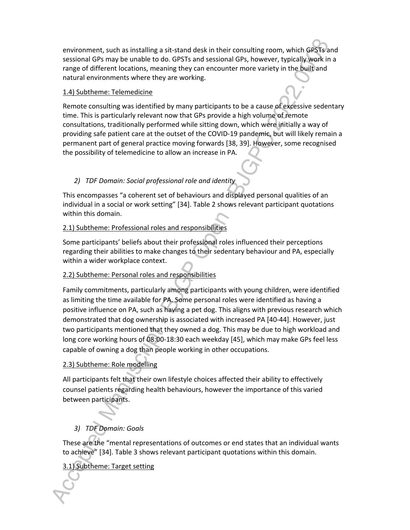environment, such as installing a sit-stand desk in their consulting room, which GPSTs and sessional GPs may be unable to do. GPSTs and sessional GPs, however, typically work in a range of different locations, meaning they can encounter more variety in the built and natural environments where they are working.

### 1.4) Subtheme: Telemedicine

Remote consulting was identified by many participants to be a cause of excessive sedentary time. This is particularly relevant now that GPs provide a high volume of remote consultations, traditionally performed while sitting down, which were initially a way of providing safe patient care at the outset of the COVID-19 pandemic, but will likely remain a permanent part of general practice moving forwards [38, 39]. However, some recognised the possibility of telemedicine to allow an increase in PA.

### *2) TDF Domain: Social professional role and identity*

This encompasses "a coherent set of behaviours and displayed personal qualities of an individual in a social or work setting" [34]. Table 2 shows relevant participant quotations within this domain.

### 2.1) Subtheme: Professional roles and responsibilities

Some participants' beliefs about their professional roles influenced their perceptions regarding their abilities to make changes to their sedentary behaviour and PA, especially within a wider workplace context.

### 2.2) Subtheme: Personal roles and responsibilities

Family commitments, particularly among participants with young children, were identified as limiting the time available for PA. Some personal roles were identified as having a positive influence on PA, such as having a pet dog. This aligns with previous research which demonstrated that dog ownership is associated with increased PA [40-44]. However, just two participants mentioned that they owned a dog. This may be due to high workload and long core working hours of 08:00-18:30 each weekday [45], which may make GPs feel less capable of owning a dog than people working in other occupations.

### 2.3) Subtheme: Role modelling

All participants felt that their own lifestyle choices affected their ability to effectively counsel patients regarding health behaviours, however the importance of this varied between participants.

### *3) TDF Domain: Goals*

These are the "mental representations of outcomes or end states that an individual wants to achieve" [34]. Table 3 shows relevant participant quotations within this domain.

### 3.1) Subtheme: Target setting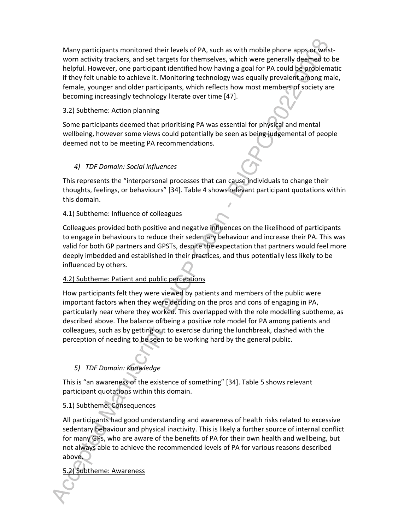Many participants monitored their levels of PA, such as with mobile phone apps or wristworn activity trackers, and set targets for themselves, which were generally deemed to be helpful. However, one participant identified how having a goal for PA could be problematic if they felt unable to achieve it. Monitoring technology was equally prevalent among male, female, younger and older participants, which reflects how most members of society are becoming increasingly technology literate over time [47].

### 3.2) Subtheme: Action planning

Some participants deemed that prioritising PA was essential for physical and mental wellbeing, however some views could potentially be seen as being judgemental of people deemed not to be meeting PA recommendations.

### *4) TDF Domain: Social influences*

This represents the "interpersonal processes that can cause individuals to change their thoughts, feelings, or behaviours" [34]. Table 4 shows relevant participant quotations within this domain.

### 4.1) Subtheme: Influence of colleagues

Colleagues provided both positive and negative influences on the likelihood of participants to engage in behaviours to reduce their sedentary behaviour and increase their PA. This was valid for both GP partners and GPSTs, despite the expectation that partners would feel more deeply imbedded and established in their practices, and thus potentially less likely to be influenced by others.

### 4.2) Subtheme: Patient and public perceptions

How participants felt they were viewed by patients and members of the public were important factors when they were deciding on the pros and cons of engaging in PA, particularly near where they worked. This overlapped with the role modelling subtheme, as described above. The balance of being a positive role model for PA among patients and colleagues, such as by getting out to exercise during the lunchbreak, clashed with the perception of needing to be seen to be working hard by the general public.

### *5) TDF Domain: Knowledge*

This is "an awareness of the existence of something" [34]. Table 5 shows relevant participant quotations within this domain.

### 5.1) Subtheme: Consequences

All participants had good understanding and awareness of health risks related to excessive sedentary behaviour and physical inactivity. This is likely a further source of internal conflict for many GPs, who are aware of the benefits of PA for their own health and wellbeing, but not always able to achieve the recommended levels of PA for various reasons described above.

5.2) Subtheme: Awareness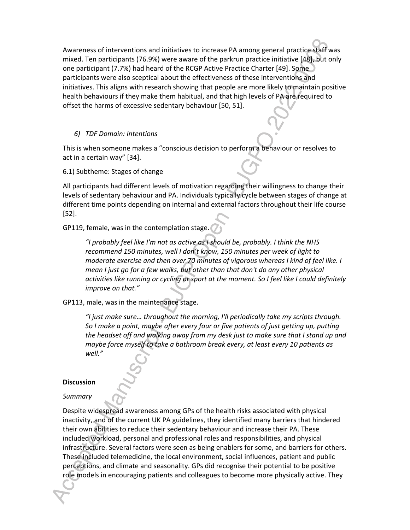Awareness of interventions and initiatives to increase PA among general practice staff was mixed. Ten participants (76.9%) were aware of the parkrun practice initiative [48], but only one participant (7.7%) had heard of the RCGP Active Practice Charter [49]. Some participants were also sceptical about the effectiveness of these interventions and initiatives. This aligns with research showing that people are more likely to maintain positive health behaviours if they make them habitual, and that high levels of PA are required to offset the harms of excessive sedentary behaviour [50, 51].

#### *6) TDF Domain: Intentions*

This is when someone makes a "conscious decision to perform a behaviour or resolves to act in a certain way" [34].

6.1) Subtheme: Stages of change

All participants had different levels of motivation regarding their willingness to change their levels of sedentary behaviour and PA. Individuals typically cycle between stages of change at different time points depending on internal and external factors throughout their life course [52].

GP119, female, was in the contemplation stage.

*"I probably feel like I'm not as active as I should be, probably. I think the NHS recommend 150 minutes, well I don't know, 150 minutes per week of light to moderate exercise and then over 70 minutes of vigorous whereas I kind of feel like. I mean I just go for a few walks, but other than that don't do any other physical activities like running or cycling or sport at the moment. So I feel like I could definitely improve on that."* 

GP113, male, was in the maintenance stage.

*"I just make sure… throughout the morning, I'll periodically take my scripts through. So I make a point, maybe after every four or five patients of just getting up, putting the headset off and walking away from my desk just to make sure that I stand up and maybe force myself to take a bathroom break every, at least every 10 patients as well."*

#### **Discussion**

#### *Summary*

Despite widespread awareness among GPs of the health risks associated with physical inactivity, and of the current UK PA guidelines, they identified many barriers that hindered their own abilities to reduce their sedentary behaviour and increase their PA. These included workload, personal and professional roles and responsibilities, and physical infrastructure. Several factors were seen as being enablers for some, and barriers for others. These included telemedicine, the local environment, social influences, patient and public perceptions, and climate and seasonality. GPs did recognise their potential to be positive role models in encouraging patients and colleagues to become more physically active. They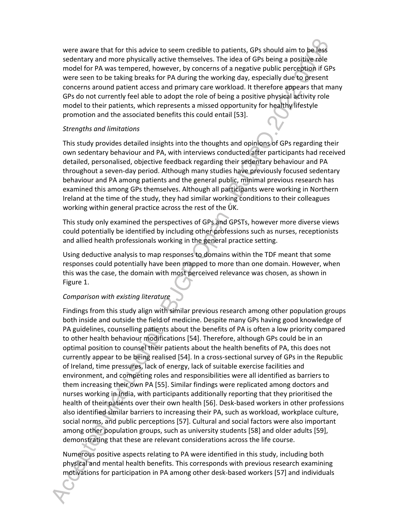were aware that for this advice to seem credible to patients, GPs should aim to be less sedentary and more physically active themselves. The idea of GPs being a positive role model for PA was tempered, however, by concerns of a negative public perception if GPs were seen to be taking breaks for PA during the working day, especially due to present concerns around patient access and primary care workload. It therefore appears that many GPs do not currently feel able to adopt the role of being a positive physical activity role model to their patients, which represents a missed opportunity for healthy lifestyle promotion and the associated benefits this could entail [53].

### *Strengths and limitations*

This study provides detailed insights into the thoughts and opinions of GPs regarding their own sedentary behaviour and PA, with interviews conducted after participants had received detailed, personalised, objective feedback regarding their sedentary behaviour and PA throughout a seven-day period. Although many studies have previously focused sedentary behaviour and PA among patients and the general public, minimal previous research has examined this among GPs themselves. Although all participants were working in Northern Ireland at the time of the study, they had similar working conditions to their colleagues working within general practice across the rest of the UK.

This study only examined the perspectives of GPs and GPSTs, however more diverse views could potentially be identified by including other professions such as nurses, receptionists and allied health professionals working in the general practice setting.

Using deductive analysis to map responses to domains within the TDF meant that some responses could potentially have been mapped to more than one domain. However, when this was the case, the domain with most perceived relevance was chosen, as shown in Figure 1.

### *Comparison with existing literature*

Findings from this study align with similar previous research among other population groups both inside and outside the field of medicine. Despite many GPs having good knowledge of PA guidelines, counselling patients about the benefits of PA is often a low priority compared to other health behaviour modifications [54]. Therefore, although GPs could be in an optimal position to counsel their patients about the health benefits of PA, this does not currently appear to be being realised [54]. In a cross-sectional survey of GPs in the Republic of Ireland, time pressures, lack of energy, lack of suitable exercise facilities and environment, and competing roles and responsibilities were all identified as barriers to them increasing their own PA [55]. Similar findings were replicated among doctors and nurses working in India, with participants additionally reporting that they prioritised the health of their patients over their own health [56]. Desk-based workers in other professions also identified similar barriers to increasing their PA, such as workload, workplace culture, social norms, and public perceptions [57]. Cultural and social factors were also important among other population groups, such as university students [58] and older adults [59], demonstrating that these are relevant considerations across the life course.

Numerous positive aspects relating to PA were identified in this study, including both physical and mental health benefits. This corresponds with previous research examining motivations for participation in PA among other desk-based workers [57] and individuals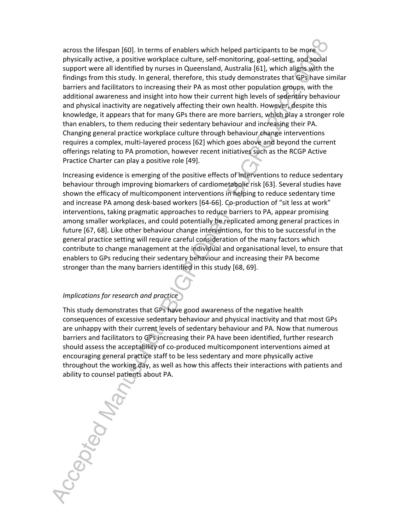across the lifespan [60]. In terms of enablers which helped participants to be more physically active, a positive workplace culture, self-monitoring, goal-setting, and social support were all identified by nurses in Queensland, Australia [61], which aligns with the findings from this study. In general, therefore, this study demonstrates that GPs have similar barriers and facilitators to increasing their PA as most other population groups, with the additional awareness and insight into how their current high levels of sedentary behaviour and physical inactivity are negatively affecting their own health. However, despite this knowledge, it appears that for many GPs there are more barriers, which play a stronger role than enablers, to them reducing their sedentary behaviour and increasing their PA. Changing general practice workplace culture through behaviour change interventions requires a complex, multi-layered process [62] which goes above and beyond the current offerings relating to PA promotion, however recent initiatives such as the RCGP Active Practice Charter can play a positive role [49].

Increasing evidence is emerging of the positive effects of interventions to reduce sedentary behaviour through improving biomarkers of cardiometabolic risk [63]. Several studies have shown the efficacy of multicomponent interventions in helping to reduce sedentary time and increase PA among desk-based workers [64-66]. Co-production of "sit less at work" interventions, taking pragmatic approaches to reduce barriers to PA, appear promising among smaller workplaces, and could potentially be replicated among general practices in future [67, 68]. Like other behaviour change interventions, for this to be successful in the general practice setting will require careful consideration of the many factors which contribute to change management at the individual and organisational level, to ensure that enablers to GPs reducing their sedentary behaviour and increasing their PA become stronger than the many barriers identified in this study [68, 69].

#### *Implications for research and practice*

This study demonstrates that GPs have good awareness of the negative health consequences of excessive sedentary behaviour and physical inactivity and that most GPs are unhappy with their current levels of sedentary behaviour and PA. Now that numerous barriers and facilitators to GPs increasing their PA have been identified, further research should assess the acceptability of co-produced multicomponent interventions aimed at encouraging general practice staff to be less sedentary and more physically active throughout the working day, as well as how this affects their interactions with patients and

ability to counsel patients about PA.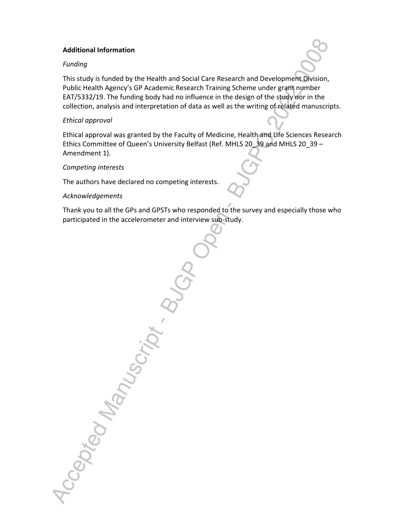#### **Additional Information**

### *Funding*

This study is funded by the Health and Social Care Research and Development Division, Public Health Agency's GP Academic Research Training Scheme under grant number EAT/5332/19. The funding body had no influence in the design of the study nor in the collection, analysis and interpretation of data as well as the writing of related manuscripts.

### *Ethical approval*

Ethical approval was granted by the Faculty of Medicine, Health and Life Sciences Research Ethics Committee of Queen's University Belfast (Ref. MHLS 20\_39 and MHLS 20\_39 – Amendment 1).

### *Competing interests*

The authors have declared no competing interests.

#### *Acknowledgements*

Thank you to all the GPs and GPSTs who responded to the survey and especially those who participated in the accelerometer and interview sub-study.

Accepted Manuscript B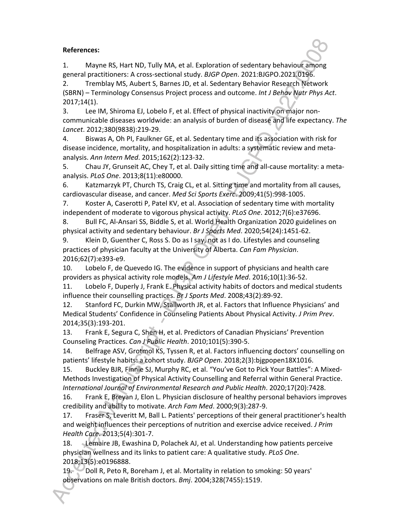### **References:**

1. Mayne RS, Hart ND, Tully MA, et al. Exploration of sedentary behaviour among general practitioners: A cross-sectional study. *BJGP Open*. 2021:BJGPO.2021.0196.

2. Tremblay MS, Aubert S, Barnes JD, et al. Sedentary Behavior Research Network (SBRN) – Terminology Consensus Project process and outcome. *Int J Behav Nutr Phys Act*. 2017;14(1).

3. Lee IM, Shiroma EJ, Lobelo F, et al. Effect of physical inactivity on major noncommunicable diseases worldwide: an analysis of burden of disease and life expectancy. *The Lancet*. 2012;380(9838):219-29.

4. Biswas A, Oh PI, Faulkner GE, et al. Sedentary time and its association with risk for disease incidence, mortality, and hospitalization in adults: a systematic review and metaanalysis. *Ann Intern Med*. 2015;162(2):123-32.

5. Chau JY, Grunseit AC, Chey T, et al. Daily sitting time and all-cause mortality: a metaanalysis. *PLoS One*. 2013;8(11):e80000.

6. Katzmarzyk PT, Church TS, Craig CL, et al. Sitting time and mortality from all causes, cardiovascular disease, and cancer. *Med Sci Sports Exerc*. 2009;41(5):998-1005.

7. Koster A, Caserotti P, Patel KV, et al. Association of sedentary time with mortality independent of moderate to vigorous physical activity. *PLoS One*. 2012;7(6):e37696.

8. Bull FC, Al-Ansari SS, Biddle S, et al. World Health Organization 2020 guidelines on physical activity and sedentary behaviour. *Br J Sports Med*. 2020;54(24):1451-62.

9. Klein D, Guenther C, Ross S. Do as I say, not as I do. Lifestyles and counseling practices of physician faculty at the University of Alberta. *Can Fam Physician*. 2016;62(7):e393-e9.

10. Lobelo F, de Quevedo IG. The evidence in support of physicians and health care providers as physical activity role models. *Am J Lifestyle Med*. 2016;10(1):36-52.

11. Lobelo F, Duperly J, Frank E. Physical activity habits of doctors and medical students influence their counselling practices. *Br J Sports Med*. 2008;43(2):89-92.

12. Stanford FC, Durkin MW, Stallworth JR, et al. Factors that Influence Physicians' and Medical Students' Confidence in Counseling Patients About Physical Activity. *J Prim Prev*. 2014;35(3):193-201.

13. Frank E, Segura C, Shen H, et al. Predictors of Canadian Physicians' Prevention Counseling Practices. *Can J Public Health*. 2010;101(5):390-5.

14. Belfrage ASV, Grotmol KS, Tyssen R, et al. Factors influencing doctors' counselling on patients' lifestyle habits: a cohort study. *BJGP Open*. 2018;2(3):bjgpopen18X1016.

15. Buckley BJR, Finnie SJ, Murphy RC, et al. "You've Got to Pick Your Battles": A Mixed-Methods Investigation of Physical Activity Counselling and Referral within General Practice. *International Journal of Environmental Research and Public Health*. 2020;17(20):7428.

16. Frank E, Breyan J, Elon L. Physician disclosure of healthy personal behaviors improves credibility and ability to motivate. *Arch Fam Med*. 2000;9(3):287-9.

17. Fraser S, Leveritt M, Ball L. Patients' perceptions of their general practitioner's health and weight influences their perceptions of nutrition and exercise advice received. *J Prim Health Care*. 2013;5(4):301-7.

18. Lemaire JB, Ewashina D, Polachek AJ, et al. Understanding how patients perceive physician wellness and its links to patient care: A qualitative study. *PLoS One*. 2018;13(5):e0196888.

19. Doll R, Peto R, Boreham J, et al. Mortality in relation to smoking: 50 years' observations on male British doctors. *Bmj*. 2004;328(7455):1519.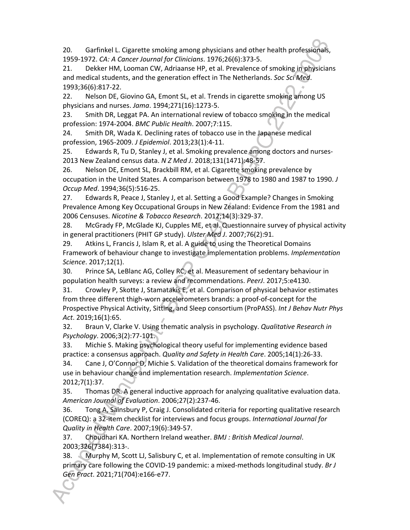20. Garfinkel L. Cigarette smoking among physicians and other health professionals, 1959-1972. *CA: A Cancer Journal for Clinicians*. 1976;26(6):373-5.

21. Dekker HM, Looman CW, Adriaanse HP, et al. Prevalence of smoking in physicians and medical students, and the generation effect in The Netherlands. *Soc Sci Med*. 1993;36(6):817-22.

22. Nelson DE, Giovino GA, Emont SL, et al. Trends in cigarette smoking among US physicians and nurses. *Jama*. 1994;271(16):1273-5.

23. Smith DR, Leggat PA. An international review of tobacco smoking in the medical profession: 1974-2004. *BMC Public Health*. 2007;7:115.

24. Smith DR, Wada K. Declining rates of tobacco use in the Japanese medical profession, 1965-2009. *J Epidemiol*. 2013;23(1):4-11.

25. Edwards R, Tu D, Stanley J, et al. Smoking prevalence among doctors and nurses-2013 New Zealand census data. *N Z Med J*. 2018;131(1471):48-57.

26. Nelson DE, Emont SL, Brackbill RM, et al. Cigarette smoking prevalence by occupation in the United States. A comparison between 1978 to 1980 and 1987 to 1990. *J Occup Med*. 1994;36(5):516-25.

27. Edwards R, Peace J, Stanley J, et al. Setting a Good Example? Changes in Smoking Prevalence Among Key Occupational Groups in New Zealand: Evidence From the 1981 and 2006 Censuses. *Nicotine & Tobacco Research*. 2012;14(3):329-37.

28. McGrady FP, McGlade KJ, Cupples ME, et al. Questionnaire survey of physical activity in general practitioners (PHIT GP study). *Ulster Med J*. 2007;76(2):91.

29. Atkins L, Francis J, Islam R, et al. A guide to using the Theoretical Domains Framework of behaviour change to investigate implementation problems. *Implementation Science*. 2017;12(1).

30. Prince SA, LeBlanc AG, Colley RC, et al. Measurement of sedentary behaviour in population health surveys: a review and recommendations. *PeerJ*. 2017;5:e4130.

31. Crowley P, Skotte J, Stamatakis E, et al. Comparison of physical behavior estimates from three different thigh-worn accelerometers brands: a proof-of-concept for the Prospective Physical Activity, Sitting, and Sleep consortium (ProPASS). *Int J Behav Nutr Phys Act*. 2019;16(1):65.

32. Braun V, Clarke V. Using thematic analysis in psychology. *Qualitative Research in Psychology*. 2006;3(2):77-101.

33. Michie S. Making psychological theory useful for implementing evidence based practice: a consensus approach. *Quality and Safety in Health Care*. 2005;14(1):26-33.

34. Cane J, O'Connor D, Michie S. Validation of the theoretical domains framework for use in behaviour change and implementation research. *Implementation Science*. 2012;7(1):37.

35. Thomas DR. A general inductive approach for analyzing qualitative evaluation data. *American Journal of Evaluation*. 2006;27(2):237-46.

36. Tong A, Sainsbury P, Craig J. Consolidated criteria for reporting qualitative research (COREQ): a 32-item checklist for interviews and focus groups. *International Journal for Quality in Health Care*. 2007;19(6):349-57.

37. Choudhari KA. Northern Ireland weather. *BMJ : British Medical Journal*. 2003;326(7384):313-.

38. Murphy M, Scott LJ, Salisbury C, et al. Implementation of remote consulting in UK primary care following the COVID-19 pandemic: a mixed-methods longitudinal study. *Br J Gen Pract*. 2021;71(704):e166-e77.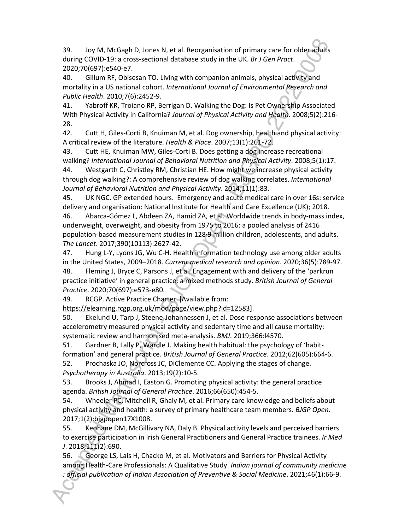39. Joy M, McGagh D, Jones N, et al. Reorganisation of primary care for older adults during COVID-19: a cross-sectional database study in the UK. *Br J Gen Pract*. 2020;70(697):e540-e7.

40. Gillum RF, Obisesan TO. Living with companion animals, physical activity and mortality in a US national cohort. *International Journal of Environmental Research and Public Health*. 2010;7(6):2452-9.

41. Yabroff KR, Troiano RP, Berrigan D. Walking the Dog: Is Pet Ownership Associated With Physical Activity in California? *Journal of Physical Activity and Health*. 2008;5(2):216- 28.

42. Cutt H, Giles-Corti B, Knuiman M, et al. Dog ownership, health and physical activity: A critical review of the literature. *Health & Place*. 2007;13(1):261-72.

43. Cutt HE, Knuiman MW, Giles-Corti B. Does getting a dog increase recreational walking? *International Journal of Behavioral Nutrition and Physical Activity*. 2008;5(1):17.

44. Westgarth C, Christley RM, Christian HE. How might we increase physical activity through dog walking?: A comprehensive review of dog walking correlates. *International Journal of Behavioral Nutrition and Physical Activity*. 2014;11(1):83.

45. UK NGC. GP extended hours. Emergency and acute medical care in over 16s: service delivery and organisation: National Institute for Health and Care Excellence (UK); 2018.

46. Abarca-Gómez L, Abdeen ZA, Hamid ZA, et al. Worldwide trends in body-mass index, underweight, overweight, and obesity from 1975 to 2016: a pooled analysis of 2416 population-based measurement studies in 128·9 million children, adolescents, and adults. *The Lancet*. 2017;390(10113):2627-42.

47. Hung L-Y, Lyons JG, Wu C-H. Health information technology use among older adults in the United States, 2009–2018. *Current medical research and opinion*. 2020;36(5):789-97.

48. Fleming J, Bryce C, Parsons J, et al. Engagement with and delivery of the 'parkrun practice initiative' in general practice: a mixed methods study. *British Journal of General Practice*. 2020;70(697):e573-e80.

49. RCGP. Active Practice Charter [Available from:

https://elearning.rcgp.org.uk/mod/page/view.php?id=12583].

50. Ekelund U, Tarp J, Steene-Johannessen J, et al. Dose-response associations between accelerometry measured physical activity and sedentary time and all cause mortality: systematic review and harmonised meta-analysis. *BMJ*. 2019;366:l4570.

51. Gardner B, Lally P, Wardle J. Making health habitual: the psychology of 'habitformation' and general practice. *British Journal of General Practice*. 2012;62(605):664-6. 52. Prochaska JO, Norcross JC, DiClemente CC. Applying the stages of change.

*Psychotherapy in Australia*. 2013;19(2):10-5.

53. Brooks J, Ahmad I, Easton G. Promoting physical activity: the general practice agenda. *British Journal of General Practice*. 2016;66(650):454-5.

54. Wheeler PC, Mitchell R, Ghaly M, et al. Primary care knowledge and beliefs about physical activity and health: a survey of primary healthcare team members. *BJGP Open*. 2017;1(2):bjgpopen17X1008.

55. Keohane DM, McGillivary NA, Daly B. Physical activity levels and perceived barriers to exercise participation in Irish General Practitioners and General Practice trainees. *Ir Med J*. 2018;111(2):690.

56. George LS, Lais H, Chacko M, et al. Motivators and Barriers for Physical Activity among Health-Care Professionals: A Qualitative Study. *Indian journal of community medicine : official publication of Indian Association of Preventive & Social Medicine*. 2021;46(1):66-9.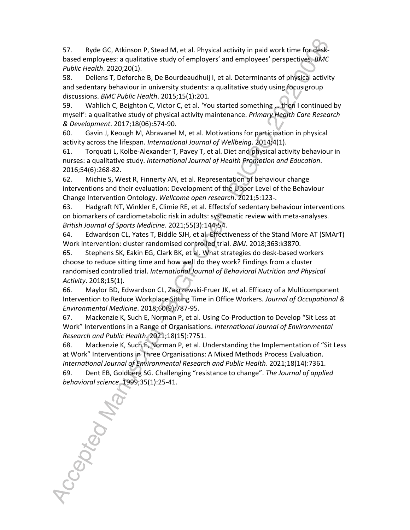57. Ryde GC, Atkinson P, Stead M, et al. Physical activity in paid work time for deskbased employees: a qualitative study of employers' and employees' perspectives. *BMC Public Health*. 2020;20(1).

58. Deliens T, Deforche B, De Bourdeaudhuij I, et al. Determinants of physical activity and sedentary behaviour in university students: a qualitative study using focus group discussions. *BMC Public Health*. 2015;15(1):201.

59. Wahlich C, Beighton C, Victor C, et al. 'You started something … then I continued by myself': a qualitative study of physical activity maintenance. *Primary Health Care Research & Development*. 2017;18(06):574-90.

60. Gavin J, Keough M, Abravanel M, et al. Motivations for participation in physical activity across the lifespan. *International Journal of Wellbeing*. 2014;4(1).

61. Torquati L, Kolbe-Alexander T, Pavey T, et al. Diet and physical activity behaviour in nurses: a qualitative study. *International Journal of Health Promotion and Education*. 2016;54(6):268-82.

62. Michie S, West R, Finnerty AN, et al. Representation of behaviour change interventions and their evaluation: Development of the Upper Level of the Behaviour Change Intervention Ontology. *Wellcome open research*. 2021;5:123-.

63. Hadgraft NT, Winkler E, Climie RE, et al. Effects of sedentary behaviour interventions on biomarkers of cardiometabolic risk in adults: systematic review with meta-analyses. *British Journal of Sports Medicine*. 2021;55(3):144-54.

64. Edwardson CL, Yates T, Biddle SJH, et al. Effectiveness of the Stand More AT (SMArT) Work intervention: cluster randomised controlled trial. *BMJ*. 2018;363:k3870.

65. Stephens SK, Eakin EG, Clark BK, et al. What strategies do desk-based workers choose to reduce sitting time and how well do they work? Findings from a cluster randomised controlled trial. *International Journal of Behavioral Nutrition and Physical Activity*. 2018;15(1).

66. Maylor BD, Edwardson CL, Zakrzewski-Fruer JK, et al. Efficacy of a Multicomponent Intervention to Reduce Workplace Sitting Time in Office Workers. *Journal of Occupational & Environmental Medicine*. 2018;60(9):787-95.

67. Mackenzie K, Such E, Norman P, et al. Using Co-Production to Develop "Sit Less at Work" Interventions in a Range of Organisations. *International Journal of Environmental Research and Public Health*. 2021;18(15):7751.

68. Mackenzie K, Such E, Norman P, et al. Understanding the Implementation of "Sit Less at Work" Interventions in Three Organisations: A Mixed Methods Process Evaluation. *International Journal of Environmental Research and Public Health*. 2021;18(14):7361. 69. Dent EB, Goldberg SG. Challenging "resistance to change". *The Journal of applied behavioral science*. 1999;35(1):25-41.

*behavioral science*. 1999;35(1):25-41.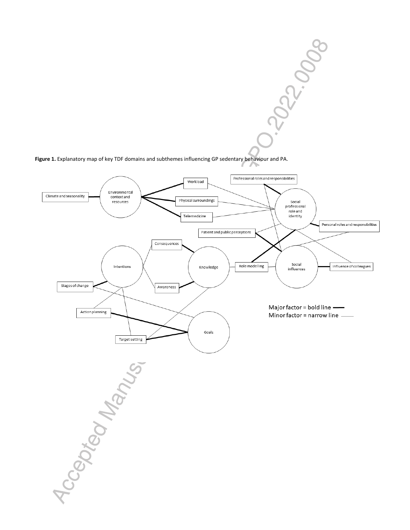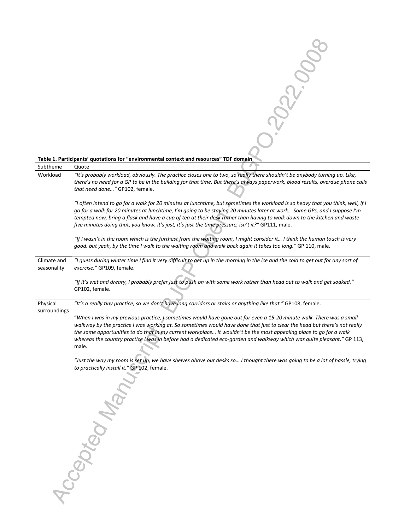|                            | Table 1. Participants' quotations for "environmental context and resources" TDF domain                                                                                                                                                                                                                                                                                             |
|----------------------------|------------------------------------------------------------------------------------------------------------------------------------------------------------------------------------------------------------------------------------------------------------------------------------------------------------------------------------------------------------------------------------|
| Subtheme                   | Quote                                                                                                                                                                                                                                                                                                                                                                              |
| Workload                   | "It's probably workload, obviously. The practice closes one to two, so really there shouldn't be anybody turning up. Like,<br>there's no need for a GP to be in the building for that time. But there's always paperwork, blood results, overdue phone calls                                                                                                                       |
|                            | that need done" GP102, female.                                                                                                                                                                                                                                                                                                                                                     |
|                            | "I often intend to go for a walk for 20 minutes at lunchtime, but sometimes the workload is so heavy that you think, well, if I                                                                                                                                                                                                                                                    |
|                            | go for a walk for 20 minutes at lunchtime, I'm going to be staying 20 minutes later at work Some GPs, and I suppose I'm                                                                                                                                                                                                                                                            |
|                            | tempted now, bring a flask and have a cup of tea at their desk rather than having to walk down to the kitchen and waste<br>five minutes doing that, you know, it's just, it's just the time pressure, isn't it?" GP111, male.                                                                                                                                                      |
|                            |                                                                                                                                                                                                                                                                                                                                                                                    |
|                            | "If I wasn't in the room which is the furthest from the waiting room, I might consider it I think the human touch is very<br>good, but yeah, by the time I walk to the waiting room and walk back again it takes too long." GP 110, male.                                                                                                                                          |
|                            |                                                                                                                                                                                                                                                                                                                                                                                    |
| Climate and<br>seasonality | "I guess during winter time I find it very difficult to get up in the morning in the ice and the cold to get out for any sort of<br>exercise." GP109, female.                                                                                                                                                                                                                      |
|                            | "If it's wet and dreary, I probably prefer just to push on with some work rather than head out to walk and get soaked."                                                                                                                                                                                                                                                            |
|                            | GP102, female.                                                                                                                                                                                                                                                                                                                                                                     |
| Physical                   | "It's a really tiny practice, so we don't have long corridors or stairs or anything like that." GP108, female.                                                                                                                                                                                                                                                                     |
| surroundings               | "When I was in my previous practice, I sometimes would have gone out for even a 15-20 minute walk. There was a small                                                                                                                                                                                                                                                               |
|                            | walkway by the practice I was working at. So sometimes would have done that just to clear the head but there's not really<br>the same opportunities to do that in my current workplace It wouldn't be the most appealing place to go for a walk<br>whereas the country practice I was in before had a dedicated eco-garden and walkway which was quite pleasant." GP 113,<br>male. |
|                            | "Just the way my room is set up, we have shelves above our desks so I thought there was going to be a lot of hassle, trying                                                                                                                                                                                                                                                        |
|                            | to practically install it." GP 102, female.                                                                                                                                                                                                                                                                                                                                        |
|                            |                                                                                                                                                                                                                                                                                                                                                                                    |
|                            |                                                                                                                                                                                                                                                                                                                                                                                    |
|                            |                                                                                                                                                                                                                                                                                                                                                                                    |
|                            |                                                                                                                                                                                                                                                                                                                                                                                    |
|                            |                                                                                                                                                                                                                                                                                                                                                                                    |
|                            |                                                                                                                                                                                                                                                                                                                                                                                    |
|                            |                                                                                                                                                                                                                                                                                                                                                                                    |
|                            |                                                                                                                                                                                                                                                                                                                                                                                    |
|                            |                                                                                                                                                                                                                                                                                                                                                                                    |
|                            |                                                                                                                                                                                                                                                                                                                                                                                    |
|                            | Capteon                                                                                                                                                                                                                                                                                                                                                                            |
|                            |                                                                                                                                                                                                                                                                                                                                                                                    |
|                            |                                                                                                                                                                                                                                                                                                                                                                                    |
|                            |                                                                                                                                                                                                                                                                                                                                                                                    |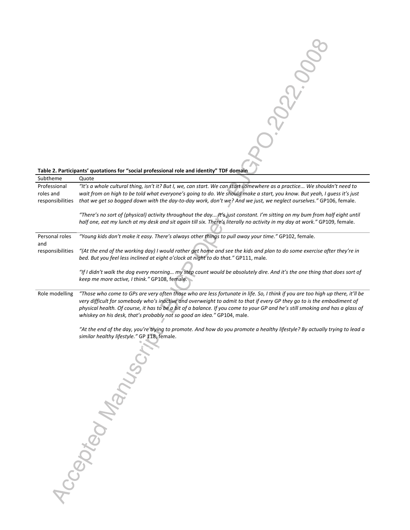

# Subtheme Quote Professional roles and responsibilities *that we get so bogged down with the day-to-day work, don't we? And we just, we neglect ourselves."* GP106, female. *"It's a whole cultural thing, isn't it? But I, we, can start. We can start somewhere as a practice... We shouldn't need to wait from on high to be told what everyone's going to do. We should make a start, you know. But yeah, I guess it's just "There's no sort of (physical) activity throughout the day... It's just constant. I'm sitting on my bum from half eight until half one, eat my lunch at my desk and sit again till six. There's literally no activity in my day at work."* GP109, female. Personal roles and responsibilities *"Young kids don't make it easy. There's always other things to pull away your time."* GP102, female. *"(At the end of the working day) I would rather get home and see the kids and plan to do some exercise after they're in bed. But you feel less inclined at eight o'clock at night to do that."* GP111, male*. "If I didn't walk the dog every morning… my step count would be absolutely dire. And it's the one thing that does sort of keep me more active, I think."* GP108, female*.* Role modelling *"Those who come to GPs are very often those who are less fortunate in life. So, I think if you are too high up there, it'll be very difficult for somebody who's inactive and overweight to admit to that if every GP they go to is the embodiment of physical health. Of course, it has to be a bit of a balance. If you come to your GP and he's still smoking and has a glass of whiskey on his desk, that's probably not so good an idea."* GP104, male. *"At the end of the day, you're trying to promote. And how do you promote a healthy lifestyle? By actually trying to lead a*  similar healthy lifestyle." GP 118, female.<br>
CONTROL CONTROL CONTROL CONTROL CONTROL CONTROL CONTROL CONTROL CONTROL CONTROL CONTROL CONTROL CONTROL CONTROL CONTROL CONTROL CONTROL CONTROL CONTROL CONTROL CONTROL CONTROL C

#### **Table 2. Participants' quotations for "social professional role and identity" TDF domain**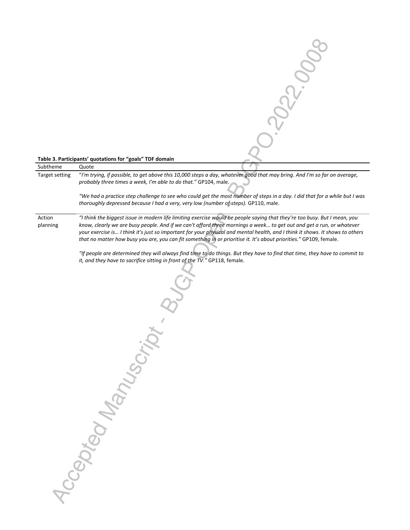

| Target setting     | "I'm trying, if possible, to get above this 10,000 steps a day, whatever good that may bring. And I'm so far on average,<br>probably three times a week, I'm able to do that." GP104, male.                                                                                                                                                                                                                                                                                                              |  |  |  |  |  |
|--------------------|----------------------------------------------------------------------------------------------------------------------------------------------------------------------------------------------------------------------------------------------------------------------------------------------------------------------------------------------------------------------------------------------------------------------------------------------------------------------------------------------------------|--|--|--|--|--|
|                    | "We had a practice step challenge to see who could get the most number of steps in a day. I did that for a while but I was<br>thoroughly depressed because I had a very, very low (number of steps). GP110, male.                                                                                                                                                                                                                                                                                        |  |  |  |  |  |
| Action<br>planning | "I think the biggest issue in modern life limiting exercise would be people saying that they're too busy. But I mean, you<br>know, clearly we are busy people. And if we can't afford three mornings a week to get out and get a run, or whatever<br>your exercise is I think it's just so important for your physical and mental health, and I think it shows. It shows to others<br>that no matter how busy you are, you can fit something in or prioritise it. It's about priorities." GP109, female. |  |  |  |  |  |
|                    | "If people are determined they will always find time to do things. But they have to find that time, they have to commit to<br>it, and they have to sacrifice sitting in front of the TV." GP118, female.                                                                                                                                                                                                                                                                                                 |  |  |  |  |  |
|                    | Max<br>$30\%$                                                                                                                                                                                                                                                                                                                                                                                                                                                                                            |  |  |  |  |  |

Subtheme Quote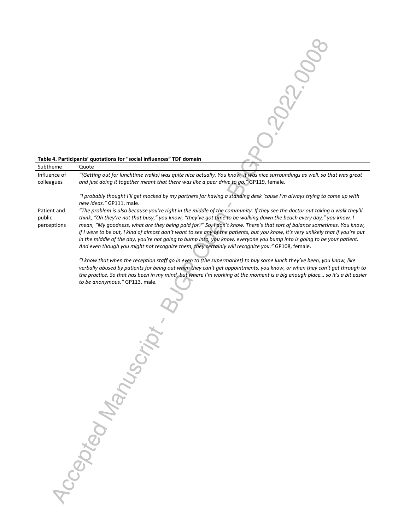

| Subtheme     | Ouote                                                                                                                     |  |  |
|--------------|---------------------------------------------------------------------------------------------------------------------------|--|--|
| Influence of | "(Getting out for lunchtime walks) was quite nice actually. You know, it was nice surroundings as well, so that was great |  |  |
| colleagues   | and just doing it together meant that there was like a peer drive to go." GP119, female.                                  |  |  |

*"I probably thought I'll get mocked by my partners for having a standing desk 'cause I'm always trying to come up with new ideas."* GP111, male.

Patient and public perceptions *"The problem is also because you're right in the middle of the community. If they see the doctor out taking a walk they'll*  think, "Oh they're not that busy," you know, "they've got time to be walking down the beach every day," you know. I *mean, "My goodness, what are they being paid for?" So, I don't know. There's that sort of balance sometimes. You know, if I were to be out, I kind of almost don't want to see any of the patients, but you know, it's very unlikely that if you're out in the middle of the day, you're not going to bump into, you know, everyone you bump into is going to be your patient. And even though you might not recognize them, they certainly will recognize you."* GP108, female.

> *"I know that when the reception staff go in even to (the supermarket) to buy some lunch they've been, you know, like verbally abused by patients for being out when they can't get appointments, you know, or when they can't get through to the practice. So that has been in my mind, but where I'm working at the moment is a big enough place… so it's a bit easier to be anonymous."* GP113, male.

Accepted Manuscript